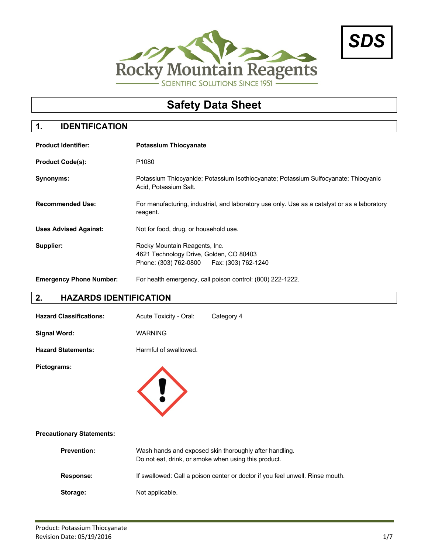



# **Safety Data Sheet**

### **1. IDENTIFICATION**

| <b>Product Identifier:</b>     | <b>Potassium Thiocyanate</b>                                                                                            |
|--------------------------------|-------------------------------------------------------------------------------------------------------------------------|
| <b>Product Code(s):</b>        | P <sub>1080</sub>                                                                                                       |
| Synonyms:                      | Potassium Thiocyanide; Potassium Isothiocyanate; Potassium Sulfocyanate; Thiocyanic<br>Acid, Potassium Salt.            |
| <b>Recommended Use:</b>        | For manufacturing, industrial, and laboratory use only. Use as a catalyst or as a laboratory<br>reagent.                |
| <b>Uses Advised Against:</b>   | Not for food, drug, or household use.                                                                                   |
| Supplier:                      | Rocky Mountain Reagents, Inc.<br>4621 Technology Drive, Golden, CO 80403<br>Phone: (303) 762-0800   Fax: (303) 762-1240 |
| <b>Emergency Phone Number:</b> | For health emergency, call poison control: (800) 222-1222.                                                              |

# **2. HAZARDS IDENTIFICATION**

| <b>Hazard Classifications:</b> | Acute Toxicity - Oral: | Category 4 |
|--------------------------------|------------------------|------------|
| Signal Word:                   | <b>WARNING</b>         |            |
| <b>Hazard Statements:</b>      | Harmful of swallowed.  |            |

**Pictograms:**



#### **Precautionary Statements:**

| <b>Prevention:</b> | Wash hands and exposed skin thoroughly after handling.<br>Do not eat, drink, or smoke when using this product. |
|--------------------|----------------------------------------------------------------------------------------------------------------|
| <b>Response:</b>   | If swallowed: Call a poison center or doctor if you feel unwell. Rinse mouth.                                  |
| Storage:           | Not applicable.                                                                                                |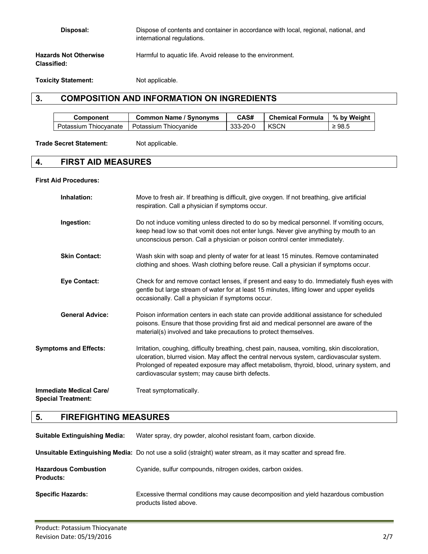| Disposal:                                          | Dispose of contents and container in accordance with local, regional, national, and<br>international regulations. |
|----------------------------------------------------|-------------------------------------------------------------------------------------------------------------------|
| <b>Hazards Not Otherwise</b><br><b>Classified:</b> | Harmful to aquatic life. Avoid release to the environment.                                                        |

**Toxicity Statement:** Not applicable.

# **3. COMPOSITION AND INFORMATION ON INGREDIENTS**

| Component                | <b>Common Name / Synonyms</b> | CAS#     | <b>Chemical Formula</b> | % by Weight |
|--------------------------|-------------------------------|----------|-------------------------|-------------|
| Thiocvanate<br>Potassium | Potassium Thiocvanide         | 333-20-0 | <b>KSCN</b>             | $\geq 98.5$ |

Trade Secret Statement: Not applicable.

# **4. FIRST AID MEASURES**

#### **First Aid Procedures:**

| Inhalation:                                          | Move to fresh air. If breathing is difficult, give oxygen. If not breathing, give artificial<br>respiration. Call a physician if symptoms occur.                                                                                                                                                                                           |
|------------------------------------------------------|--------------------------------------------------------------------------------------------------------------------------------------------------------------------------------------------------------------------------------------------------------------------------------------------------------------------------------------------|
| Ingestion:                                           | Do not induce vomiting unless directed to do so by medical personnel. If vomiting occurs,<br>keep head low so that vomit does not enter lungs. Never give anything by mouth to an<br>unconscious person. Call a physician or poison control center immediately.                                                                            |
| <b>Skin Contact:</b>                                 | Wash skin with soap and plenty of water for at least 15 minutes. Remove contaminated<br>clothing and shoes. Wash clothing before reuse. Call a physician if symptoms occur.                                                                                                                                                                |
| <b>Eye Contact:</b>                                  | Check for and remove contact lenses, if present and easy to do. Immediately flush eyes with<br>gentle but large stream of water for at least 15 minutes, lifting lower and upper eyelids<br>occasionally. Call a physician if symptoms occur.                                                                                              |
| <b>General Advice:</b>                               | Poison information centers in each state can provide additional assistance for scheduled<br>poisons. Ensure that those providing first aid and medical personnel are aware of the<br>material(s) involved and take precautions to protect themselves.                                                                                      |
| <b>Symptoms and Effects:</b>                         | Irritation, coughing, difficulty breathing, chest pain, nausea, vomiting, skin discoloration,<br>ulceration, blurred vision. May affect the central nervous system, cardiovascular system.<br>Prolonged of repeated exposure may affect metabolism, thyroid, blood, urinary system, and<br>cardiovascular system; may cause birth defects. |
| Immediate Medical Care/<br><b>Special Treatment:</b> | Treat symptomatically.                                                                                                                                                                                                                                                                                                                     |

# **5. FIREFIGHTING MEASURES**

| <b>Suitable Extinguishing Media:</b>            | Water spray, dry powder, alcohol resistant foam, carbon dioxide.                                               |
|-------------------------------------------------|----------------------------------------------------------------------------------------------------------------|
|                                                 | Unsuitable Extinguishing Media: Do not use a solid (straight) water stream, as it may scatter and spread fire. |
| <b>Hazardous Combustion</b><br><b>Products:</b> | Cyanide, sulfur compounds, nitrogen oxides, carbon oxides.                                                     |
| <b>Specific Hazards:</b>                        | Excessive thermal conditions may cause decomposition and yield hazardous combustion<br>products listed above.  |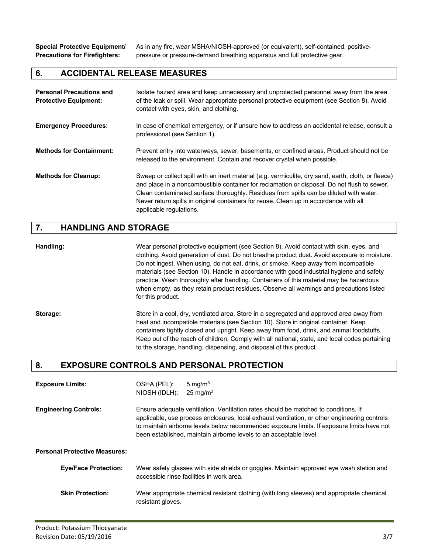**Special Protective Equipment/** As in any fire, wear MSHA/NIOSH-approved (or equivalent), self-contained, positive-**Precautions for Firefighters:** pressure or pressure-demand breathing apparatus and full protective gear.

#### **6. ACCIDENTAL RELEASE MEASURES**

| <b>Personal Precautions and</b><br><b>Protective Equipment:</b> | Isolate hazard area and keep unnecessary and unprotected personnel away from the area<br>of the leak or spill. Wear appropriate personal protective equipment (see Section 8). Avoid<br>contact with eyes, skin, and clothing.                                                                                                                                                                                   |
|-----------------------------------------------------------------|------------------------------------------------------------------------------------------------------------------------------------------------------------------------------------------------------------------------------------------------------------------------------------------------------------------------------------------------------------------------------------------------------------------|
| <b>Emergency Procedures:</b>                                    | In case of chemical emergency, or if unsure how to address an accidental release, consult a<br>professional (see Section 1).                                                                                                                                                                                                                                                                                     |
| <b>Methods for Containment:</b>                                 | Prevent entry into waterways, sewer, basements, or confined areas. Product should not be<br>released to the environment. Contain and recover crystal when possible.                                                                                                                                                                                                                                              |
| <b>Methods for Cleanup:</b>                                     | Sweep or collect spill with an inert material (e.g. vermiculite, dry sand, earth, cloth, or fleece)<br>and place in a noncombustible container for reclamation or disposal. Do not flush to sewer.<br>Clean contaminated surface thoroughly. Residues from spills can be diluted with water.<br>Never return spills in original containers for reuse. Clean up in accordance with all<br>applicable regulations. |

#### **7. HANDLING AND STORAGE**

**Handling:** Wear personal protective equipment (see Section 8). Avoid contact with skin, eyes, and clothing. Avoid generation of dust. Do not breathe product dust. Avoid exposure to moisture. Do not ingest. When using, do not eat, drink, or smoke. Keep away from incompatible materials (see Section 10). Handle in accordance with good industrial hygiene and safety practice. Wash thoroughly after handling. Containers of this material may be hazardous when empty, as they retain product residues. Observe all warnings and precautions listed for this product.

**Storage:** Store in a cool, dry, ventilated area. Store in a segregated and approved area away from heat and incompatible materials (see Section 10). Store in original container. Keep containers tightly closed and upright. Keep away from food, drink, and animal foodstuffs. Keep out of the reach of children. Comply with all national, state, and local codes pertaining

### **8. EXPOSURE CONTROLS AND PERSONAL PROTECTION**

| <b>Exposure Limits:</b>              | OSHA (PEL):<br>NIOSH (IDLH):                                                                                                                                                                                                                                                                                                                           | 5 mg/m $3$<br>25 mg/m <sup>3</sup>                                                                                                    |
|--------------------------------------|--------------------------------------------------------------------------------------------------------------------------------------------------------------------------------------------------------------------------------------------------------------------------------------------------------------------------------------------------------|---------------------------------------------------------------------------------------------------------------------------------------|
| <b>Engineering Controls:</b>         | Ensure adequate ventilation. Ventilation rates should be matched to conditions. If<br>applicable, use process enclosures, local exhaust ventilation, or other engineering controls<br>to maintain airborne levels below recommended exposure limits. If exposure limits have not<br>been established, maintain airborne levels to an acceptable level. |                                                                                                                                       |
| <b>Personal Protective Measures:</b> |                                                                                                                                                                                                                                                                                                                                                        |                                                                                                                                       |
| <b>Eye/Face Protection:</b>          |                                                                                                                                                                                                                                                                                                                                                        | Wear safety glasses with side shields or goggles. Maintain approved eye wash station and<br>accessible rinse facilities in work area. |
| <b>Skin Protection:</b>              | resistant gloves.                                                                                                                                                                                                                                                                                                                                      | Wear appropriate chemical resistant clothing (with long sleeves) and appropriate chemical                                             |

to the storage, handling, dispensing, and disposal of this product.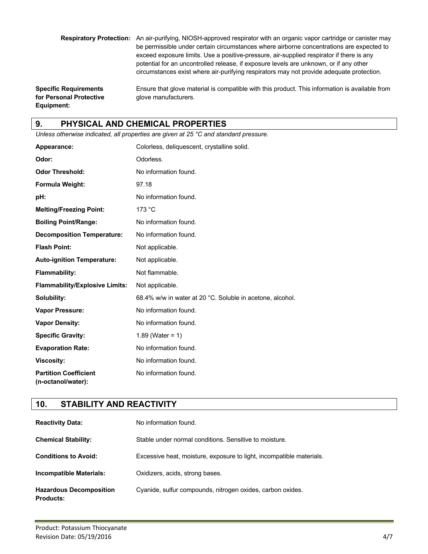**Respiratory Protection:** An air-purifying, NIOSH-approved respirator with an organic vapor cartridge or canister may be permissible under certain circumstances where airborne concentrations are expected to exceed exposure limits. Use a positive-pressure, air-supplied respirator if there is any potential for an uncontrolled release, if exposure levels are unknown, or if any other circumstances exist where air-purifying respirators may not provide adequate protection.

**for Personal Protective glove manufacturers. Equipment:**

**Specific Requirements** Ensure that glove material is compatible with this product. This information is available from

## **9. PHYSICAL AND CHEMICAL PROPERTIES**

*Unless otherwise indicated, all properties are given at 25 °C and standard pressure.*

| Appearance:                                        | Colorless, deliquescent, crystalline solid.               |
|----------------------------------------------------|-----------------------------------------------------------|
| Odor:                                              | Odorless.                                                 |
| <b>Odor Threshold:</b>                             | No information found.                                     |
| Formula Weight:                                    | 97.18                                                     |
| pH:                                                | No information found.                                     |
| <b>Melting/Freezing Point:</b>                     | 173 °C                                                    |
| <b>Boiling Point/Range:</b>                        | No information found.                                     |
| <b>Decomposition Temperature:</b>                  | No information found.                                     |
| <b>Flash Point:</b>                                | Not applicable.                                           |
| <b>Auto-ignition Temperature:</b>                  | Not applicable.                                           |
| <b>Flammability:</b>                               | Not flammable.                                            |
| <b>Flammability/Explosive Limits:</b>              | Not applicable.                                           |
| Solubility:                                        | 68.4% w/w in water at 20 °C. Soluble in acetone, alcohol. |
| <b>Vapor Pressure:</b>                             | No information found.                                     |
| <b>Vapor Density:</b>                              | No information found.                                     |
| <b>Specific Gravity:</b>                           | 1.89 (Water = $1$ )                                       |
| <b>Evaporation Rate:</b>                           | No information found.                                     |
| <b>Viscosity:</b>                                  | No information found.                                     |
| <b>Partition Coefficient</b><br>(n-octanol/water): | No information found.                                     |

### **10. STABILITY AND REACTIVITY**

| <b>Reactivity Data:</b>                            | No information found.                                                |
|----------------------------------------------------|----------------------------------------------------------------------|
| <b>Chemical Stability:</b>                         | Stable under normal conditions. Sensitive to moisture.               |
| <b>Conditions to Avoid:</b>                        | Excessive heat, moisture, exposure to light, incompatible materials. |
| <b>Incompatible Materials:</b>                     | Oxidizers, acids, strong bases.                                      |
| <b>Hazardous Decomposition</b><br><b>Products:</b> | Cyanide, sulfur compounds, nitrogen oxides, carbon oxides.           |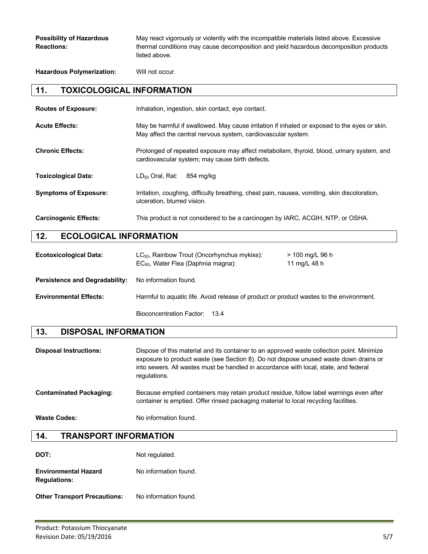**Hazardous Polymerization:** Will not occur.

### **11. TOXICOLOGICAL INFORMATION**

| <b>Routes of Exposure:</b>   | Inhalation, ingestion, skin contact, eye contact.                                                                                                             |
|------------------------------|---------------------------------------------------------------------------------------------------------------------------------------------------------------|
| <b>Acute Effects:</b>        | May be harmful if swallowed. May cause irritation if inhaled or exposed to the eyes or skin.<br>May affect the central nervous system, cardiovascular system. |
| <b>Chronic Effects:</b>      | Prolonged of repeated exposure may affect metabolism, thyroid, blood, urinary system, and<br>cardiovascular system; may cause birth defects.                  |
| <b>Toxicological Data:</b>   | LD <sub>50</sub> Oral, Rat:<br>854 ma/ka                                                                                                                      |
| <b>Symptoms of Exposure:</b> | Irritation, coughing, difficulty breathing, chest pain, nausea, vomiting, skin discoloration,<br>ulceration, blurred vision.                                  |
| <b>Carcinogenic Effects:</b> | This product is not considered to be a carcinogen by IARC, ACGIH, NTP, or OSHA.                                                                               |

# **12. ECOLOGICAL INFORMATION**

| <b>Ecotoxicological Data:</b>         | $LC_{50}$ , Rainbow Trout (Oncorhynchus mykiss):<br>EC <sub>50</sub> , Water Flea (Daphnia magna): | > 100 mg/L 96 h<br>11 mg/L 48 h |
|---------------------------------------|----------------------------------------------------------------------------------------------------|---------------------------------|
| <b>Persistence and Degradability:</b> | No information found.                                                                              |                                 |
| <b>Environmental Effects:</b>         | Harmful to aquatic life. Avoid release of product or product wastes to the environment.            |                                 |
|                                       | Bioconcentration Factor: 13.4                                                                      |                                 |

### **13. DISPOSAL INFORMATION**

| <b>Disposal Instructions:</b>  | Dispose of this material and its container to an approved waste collection point. Minimize<br>exposure to product waste (see Section 8). Do not dispose unused waste down drains or<br>into sewers. All wastes must be handled in accordance with local, state, and federal<br>regulations. |
|--------------------------------|---------------------------------------------------------------------------------------------------------------------------------------------------------------------------------------------------------------------------------------------------------------------------------------------|
| <b>Contaminated Packaging:</b> | Because emptied containers may retain product residue, follow label warnings even after<br>container is emptied. Offer rinsed packaging material to local recycling facilities.                                                                                                             |
| <b>Waste Codes:</b>            | No information found.                                                                                                                                                                                                                                                                       |

#### **14. TRANSPORT INFORMATION**

| DOT:                                               | Not regulated.        |
|----------------------------------------------------|-----------------------|
| <b>Environmental Hazard</b><br><b>Regulations:</b> | No information found. |
| <b>Other Transport Precautions:</b>                | No information found. |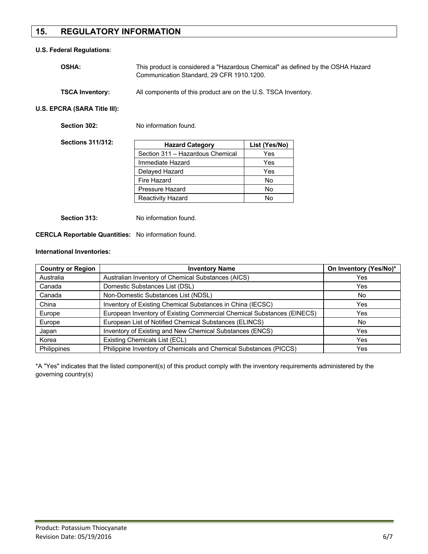# **15. REGULATORY INFORMATION**

#### **U.S. Federal Regulations**:

| <b>OSHA:</b>           | This product is considered a "Hazardous Chemical" as defined by the OSHA Hazard<br>Communication Standard, 29 CFR 1910.1200. |
|------------------------|------------------------------------------------------------------------------------------------------------------------------|
| <b>TSCA Inventory:</b> | All components of this product are on the U.S. TSCA Inventory.                                                               |

**U.S. EPCRA (SARA Title III):**

| No information found.            |               |
|----------------------------------|---------------|
| <b>Hazard Category</b>           | List (Yes/No) |
| Section 311 - Hazardous Chemical | Yes           |
| Immediate Hazard                 | Yes           |
| Delayed Hazard                   | Yes           |
| Fire Hazard                      | No.           |
| Pressure Hazard                  | No.           |
| <b>Reactivity Hazard</b>         | No            |
|                                  |               |

**Section 313:** No information found.

#### **CERCLA Reportable Quantities:** No information found.

#### **International Inventories:**

| <b>Country or Region</b> | <b>Inventory Name</b>                                                  | On Inventory (Yes/No)* |
|--------------------------|------------------------------------------------------------------------|------------------------|
| Australia                | Australian Inventory of Chemical Substances (AICS)                     | Yes                    |
| Canada                   | Domestic Substances List (DSL)                                         | Yes                    |
| Canada                   | Non-Domestic Substances List (NDSL)                                    | No.                    |
| China                    | Inventory of Existing Chemical Substances in China (IECSC)             | Yes                    |
| Europe                   | European Inventory of Existing Commercial Chemical Substances (EINECS) | Yes                    |
| Europe                   | European List of Notified Chemical Substances (ELINCS)                 | No.                    |
| Japan                    | Inventory of Existing and New Chemical Substances (ENCS)               | Yes                    |
| Korea                    | Existing Chemicals List (ECL)                                          | Yes                    |
| Philippines              | Philippine Inventory of Chemicals and Chemical Substances (PICCS)      | Yes                    |

\*A "Yes" indicates that the listed component(s) of this product comply with the inventory requirements administered by the governing country(s)